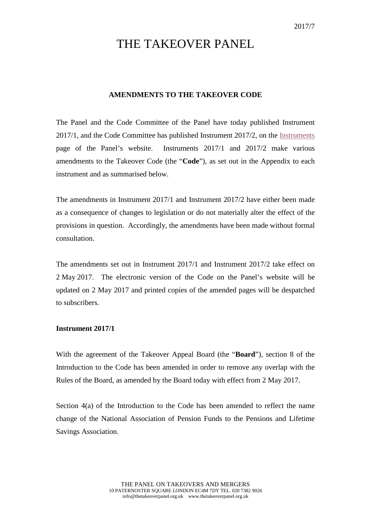## THE TAKEOVER PANEL

## **AMENDMENTS TO THE TAKEOVER CODE**

The Panel and the Code Committee of the Panel have today published Instrument 2017/1, and the Code Committee has published Instrument 2017/2, on the [Instruments](http://www.thetakeoverpanel.org.uk/the-code/download-code/list-of-instruments-and-links) page of the Panel's website. Instruments 2017/1 and 2017/2 make various amendments to the Takeover Code (the "**Code**"), as set out in the Appendix to each instrument and as summarised below.

The amendments in Instrument 2017/1 and Instrument 2017/2 have either been made as a consequence of changes to legislation or do not materially alter the effect of the provisions in question. Accordingly, the amendments have been made without formal consultation.

The amendments set out in Instrument 2017/1 and Instrument 2017/2 take effect on 2 May 2017. The electronic version of the Code on the Panel's website will be updated on 2 May 2017 and printed copies of the amended pages will be despatched to subscribers.

## **Instrument 2017/1**

With the agreement of the Takeover Appeal Board (the "**Board**"), section 8 of the Introduction to the Code has been amended in order to remove any overlap with the Rules of the Board, as amended by the Board today with effect from 2 May 2017.

Section 4(a) of the Introduction to the Code has been amended to reflect the name change of the National Association of Pension Funds to the Pensions and Lifetime Savings Association.